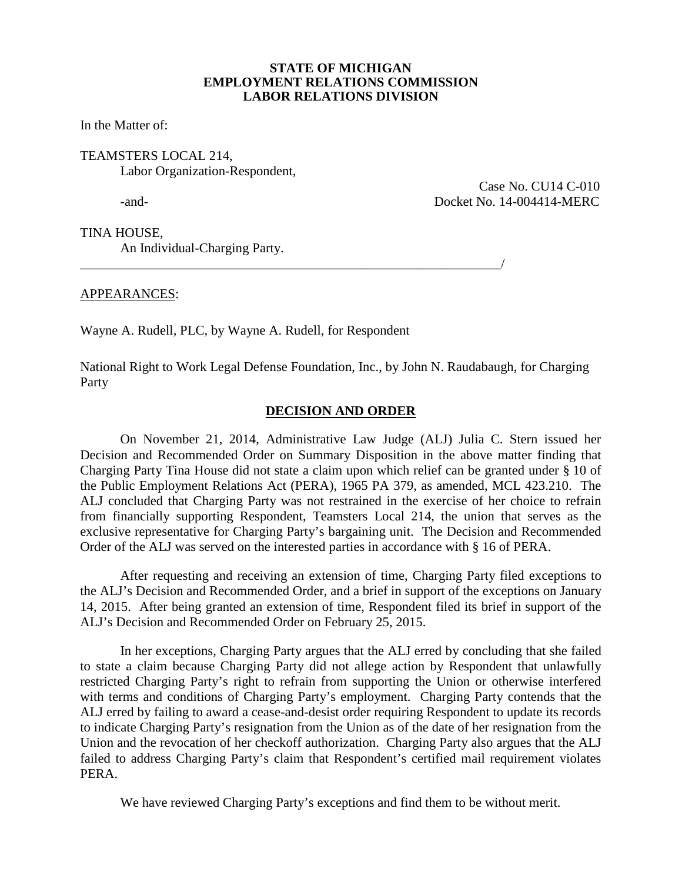## **STATE OF MICHIGAN EMPLOYMENT RELATIONS COMMISSION LABOR RELATIONS DIVISION**

In the Matter of:

# TEAMSTERS LOCAL 214, Labor Organization-Respondent,

 Case No. CU14 C-010 -and- Docket No. 14-004414-MERC

TINA HOUSE, An Individual-Charging Party.

APPEARANCES:

Wayne A. Rudell, PLC, by Wayne A. Rudell, for Respondent

\_\_\_\_\_\_\_\_\_\_\_\_\_\_\_\_\_\_\_\_\_\_\_\_\_\_\_\_\_\_\_\_\_\_\_\_\_\_\_\_\_\_\_\_\_\_\_\_\_\_\_\_\_\_\_\_\_\_\_\_\_\_\_/

National Right to Work Legal Defense Foundation, Inc., by John N. Raudabaugh, for Charging Party

# **DECISION AND ORDER**

On November 21, 2014, Administrative Law Judge (ALJ) Julia C. Stern issued her Decision and Recommended Order on Summary Disposition in the above matter finding that Charging Party Tina House did not state a claim upon which relief can be granted under § 10 of the Public Employment Relations Act (PERA), 1965 PA 379, as amended, MCL 423.210. The ALJ concluded that Charging Party was not restrained in the exercise of her choice to refrain from financially supporting Respondent, Teamsters Local 214, the union that serves as the exclusive representative for Charging Party's bargaining unit. The Decision and Recommended Order of the ALJ was served on the interested parties in accordance with § 16 of PERA.

After requesting and receiving an extension of time, Charging Party filed exceptions to the ALJ's Decision and Recommended Order, and a brief in support of the exceptions on January 14, 2015. After being granted an extension of time, Respondent filed its brief in support of the ALJ's Decision and Recommended Order on February 25, 2015.

In her exceptions, Charging Party argues that the ALJ erred by concluding that she failed to state a claim because Charging Party did not allege action by Respondent that unlawfully restricted Charging Party's right to refrain from supporting the Union or otherwise interfered with terms and conditions of Charging Party's employment. Charging Party contends that the ALJ erred by failing to award a cease-and-desist order requiring Respondent to update its records to indicate Charging Party's resignation from the Union as of the date of her resignation from the Union and the revocation of her checkoff authorization. Charging Party also argues that the ALJ failed to address Charging Party's claim that Respondent's certified mail requirement violates PERA.

We have reviewed Charging Party's exceptions and find them to be without merit.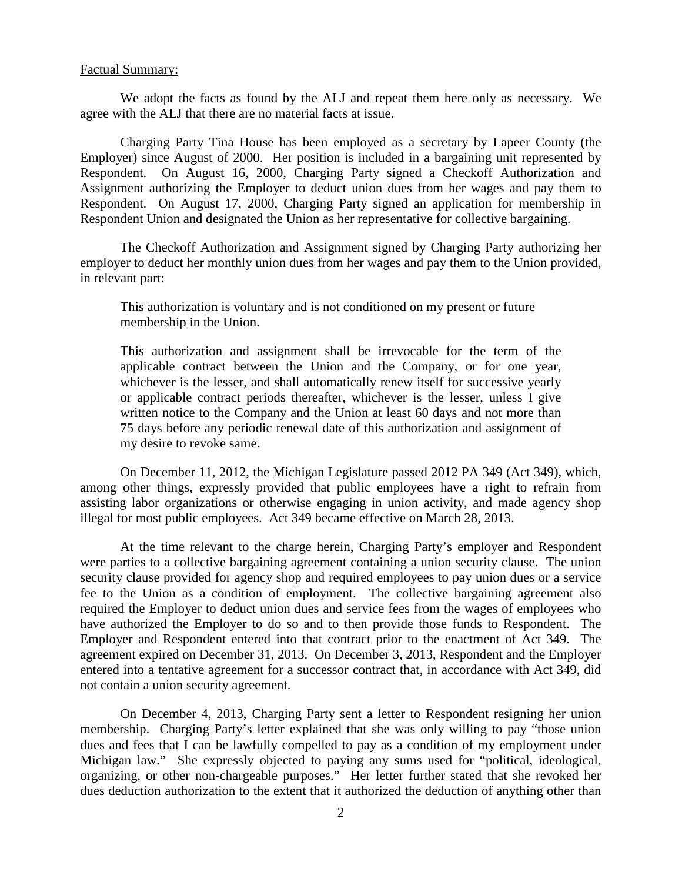### Factual Summary:

We adopt the facts as found by the ALJ and repeat them here only as necessary. We agree with the ALJ that there are no material facts at issue.

Charging Party Tina House has been employed as a secretary by Lapeer County (the Employer) since August of 2000. Her position is included in a bargaining unit represented by Respondent. On August 16, 2000, Charging Party signed a Checkoff Authorization and Assignment authorizing the Employer to deduct union dues from her wages and pay them to Respondent. On August 17, 2000, Charging Party signed an application for membership in Respondent Union and designated the Union as her representative for collective bargaining.

The Checkoff Authorization and Assignment signed by Charging Party authorizing her employer to deduct her monthly union dues from her wages and pay them to the Union provided, in relevant part:

This authorization is voluntary and is not conditioned on my present or future membership in the Union.

This authorization and assignment shall be irrevocable for the term of the applicable contract between the Union and the Company, or for one year, whichever is the lesser, and shall automatically renew itself for successive yearly or applicable contract periods thereafter, whichever is the lesser, unless I give written notice to the Company and the Union at least 60 days and not more than 75 days before any periodic renewal date of this authorization and assignment of my desire to revoke same.

On December 11, 2012, the Michigan Legislature passed 2012 PA 349 (Act 349), which, among other things, expressly provided that public employees have a right to refrain from assisting labor organizations or otherwise engaging in union activity, and made agency shop illegal for most public employees. Act 349 became effective on March 28, 2013.

At the time relevant to the charge herein, Charging Party's employer and Respondent were parties to a collective bargaining agreement containing a union security clause. The union security clause provided for agency shop and required employees to pay union dues or a service fee to the Union as a condition of employment. The collective bargaining agreement also required the Employer to deduct union dues and service fees from the wages of employees who have authorized the Employer to do so and to then provide those funds to Respondent. The Employer and Respondent entered into that contract prior to the enactment of Act 349. The agreement expired on December 31, 2013. On December 3, 2013, Respondent and the Employer entered into a tentative agreement for a successor contract that, in accordance with Act 349, did not contain a union security agreement.

On December 4, 2013, Charging Party sent a letter to Respondent resigning her union membership. Charging Party's letter explained that she was only willing to pay "those union dues and fees that I can be lawfully compelled to pay as a condition of my employment under Michigan law." She expressly objected to paying any sums used for "political, ideological, organizing, or other non-chargeable purposes." Her letter further stated that she revoked her dues deduction authorization to the extent that it authorized the deduction of anything other than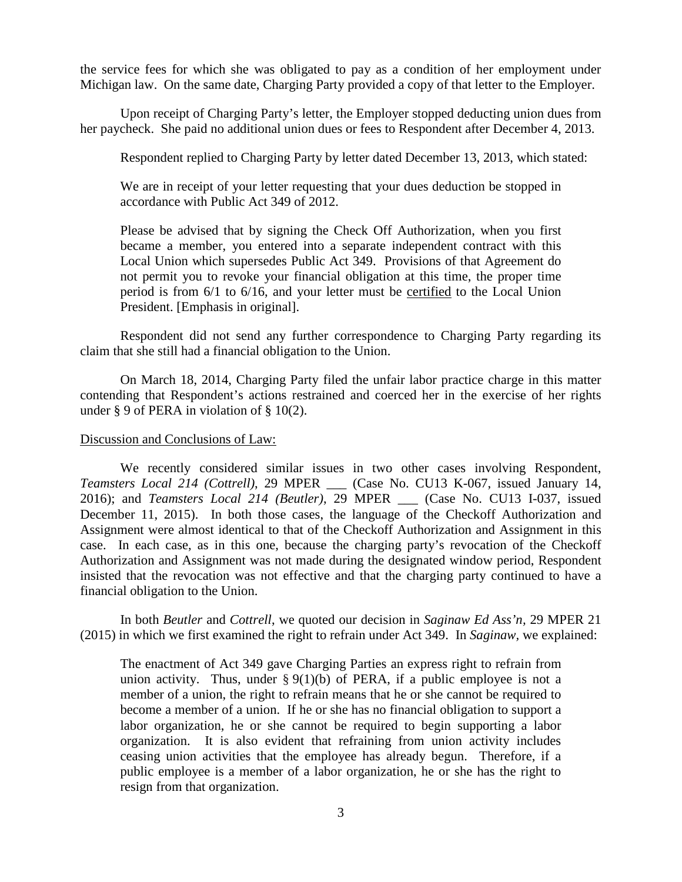the service fees for which she was obligated to pay as a condition of her employment under Michigan law. On the same date, Charging Party provided a copy of that letter to the Employer.

Upon receipt of Charging Party's letter, the Employer stopped deducting union dues from her paycheck. She paid no additional union dues or fees to Respondent after December 4, 2013.

Respondent replied to Charging Party by letter dated December 13, 2013, which stated:

We are in receipt of your letter requesting that your dues deduction be stopped in accordance with Public Act 349 of 2012.

Please be advised that by signing the Check Off Authorization, when you first became a member, you entered into a separate independent contract with this Local Union which supersedes Public Act 349. Provisions of that Agreement do not permit you to revoke your financial obligation at this time, the proper time period is from 6/1 to 6/16, and your letter must be certified to the Local Union President. [Emphasis in original].

Respondent did not send any further correspondence to Charging Party regarding its claim that she still had a financial obligation to the Union.

On March 18, 2014, Charging Party filed the unfair labor practice charge in this matter contending that Respondent's actions restrained and coerced her in the exercise of her rights under § 9 of PERA in violation of § 10(2).

## Discussion and Conclusions of Law:

We recently considered similar issues in two other cases involving Respondent, *Teamsters Local 214 (Cottrell)*, 29 MPER \_\_\_ (Case No. CU13 K-067, issued January 14, 2016); and *Teamsters Local 214 (Beutler)*, 29 MPER \_\_\_ (Case No. CU13 I-037, issued December 11, 2015). In both those cases, the language of the Checkoff Authorization and Assignment were almost identical to that of the Checkoff Authorization and Assignment in this case. In each case, as in this one, because the charging party's revocation of the Checkoff Authorization and Assignment was not made during the designated window period, Respondent insisted that the revocation was not effective and that the charging party continued to have a financial obligation to the Union.

In both *Beutler* and *Cottrell*, we quoted our decision in *Saginaw Ed Ass'n,* 29 MPER 21 (2015) in which we first examined the right to refrain under Act 349. In *Saginaw,* we explained:

The enactment of Act 349 gave Charging Parties an express right to refrain from union activity. Thus, under  $\S 9(1)(b)$  of PERA, if a public employee is not a member of a union, the right to refrain means that he or she cannot be required to become a member of a union. If he or she has no financial obligation to support a labor organization, he or she cannot be required to begin supporting a labor organization. It is also evident that refraining from union activity includes ceasing union activities that the employee has already begun. Therefore, if a public employee is a member of a labor organization, he or she has the right to resign from that organization.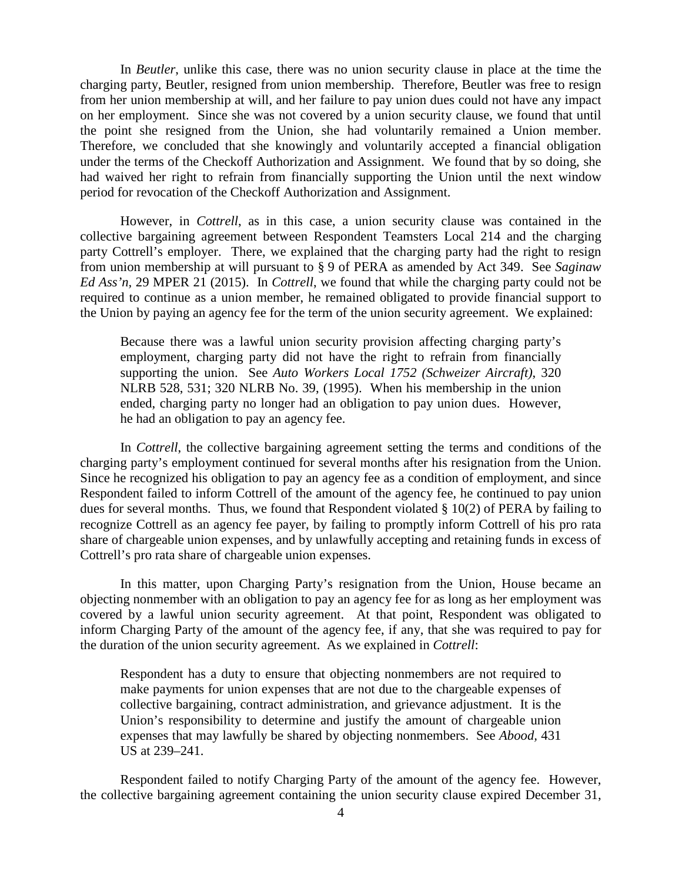In *Beutler*, unlike this case, there was no union security clause in place at the time the charging party, Beutler, resigned from union membership. Therefore, Beutler was free to resign from her union membership at will, and her failure to pay union dues could not have any impact on her employment. Since she was not covered by a union security clause, we found that until the point she resigned from the Union, she had voluntarily remained a Union member. Therefore, we concluded that she knowingly and voluntarily accepted a financial obligation under the terms of the Checkoff Authorization and Assignment. We found that by so doing, she had waived her right to refrain from financially supporting the Union until the next window period for revocation of the Checkoff Authorization and Assignment.

However, in *Cottrell*, as in this case, a union security clause was contained in the collective bargaining agreement between Respondent Teamsters Local 214 and the charging party Cottrell's employer. There, we explained that the charging party had the right to resign from union membership at will pursuant to § 9 of PERA as amended by Act 349. See *Saginaw Ed Ass'n,* 29 MPER 21 (2015). In *Cottrell*, we found that while the charging party could not be required to continue as a union member, he remained obligated to provide financial support to the Union by paying an agency fee for the term of the union security agreement. We explained:

Because there was a lawful union security provision affecting charging party's employment, charging party did not have the right to refrain from financially supporting the union. See *Auto Workers Local 1752 (Schweizer Aircraft)*, 320 NLRB 528, 531; 320 NLRB No. 39, (1995). When his membership in the union ended, charging party no longer had an obligation to pay union dues. However, he had an obligation to pay an agency fee.

In *Cottrell*, the collective bargaining agreement setting the terms and conditions of the charging party's employment continued for several months after his resignation from the Union. Since he recognized his obligation to pay an agency fee as a condition of employment, and since Respondent failed to inform Cottrell of the amount of the agency fee, he continued to pay union dues for several months. Thus, we found that Respondent violated § 10(2) of PERA by failing to recognize Cottrell as an agency fee payer, by failing to promptly inform Cottrell of his pro rata share of chargeable union expenses, and by unlawfully accepting and retaining funds in excess of Cottrell's pro rata share of chargeable union expenses.

In this matter, upon Charging Party's resignation from the Union, House became an objecting nonmember with an obligation to pay an agency fee for as long as her employment was covered by a lawful union security agreement. At that point, Respondent was obligated to inform Charging Party of the amount of the agency fee, if any, that she was required to pay for the duration of the union security agreement. As we explained in *Cottrell*:

Respondent has a duty to ensure that objecting nonmembers are not required to make payments for union expenses that are not due to the chargeable expenses of collective bargaining, contract administration, and grievance adjustment. It is the Union's responsibility to determine and justify the amount of chargeable union expenses that may lawfully be shared by objecting nonmembers. See *Abood,* 431 US at 239–241.

Respondent failed to notify Charging Party of the amount of the agency fee. However, the collective bargaining agreement containing the union security clause expired December 31,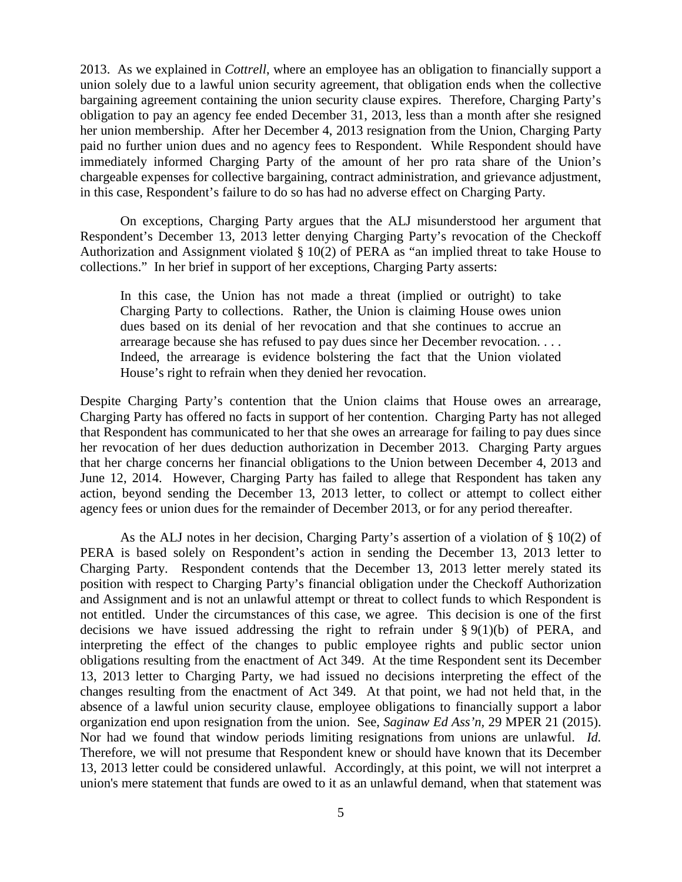2013. As we explained in *Cottrell*, where an employee has an obligation to financially support a union solely due to a lawful union security agreement, that obligation ends when the collective bargaining agreement containing the union security clause expires. Therefore, Charging Party's obligation to pay an agency fee ended December 31, 2013, less than a month after she resigned her union membership. After her December 4, 2013 resignation from the Union, Charging Party paid no further union dues and no agency fees to Respondent. While Respondent should have immediately informed Charging Party of the amount of her pro rata share of the Union's chargeable expenses for collective bargaining, contract administration, and grievance adjustment, in this case, Respondent's failure to do so has had no adverse effect on Charging Party.

On exceptions, Charging Party argues that the ALJ misunderstood her argument that Respondent's December 13, 2013 letter denying Charging Party's revocation of the Checkoff Authorization and Assignment violated § 10(2) of PERA as "an implied threat to take House to collections." In her brief in support of her exceptions, Charging Party asserts:

In this case, the Union has not made a threat (implied or outright) to take Charging Party to collections. Rather, the Union is claiming House owes union dues based on its denial of her revocation and that she continues to accrue an arrearage because she has refused to pay dues since her December revocation. . . . Indeed, the arrearage is evidence bolstering the fact that the Union violated House's right to refrain when they denied her revocation.

Despite Charging Party's contention that the Union claims that House owes an arrearage, Charging Party has offered no facts in support of her contention. Charging Party has not alleged that Respondent has communicated to her that she owes an arrearage for failing to pay dues since her revocation of her dues deduction authorization in December 2013. Charging Party argues that her charge concerns her financial obligations to the Union between December 4, 2013 and June 12, 2014. However, Charging Party has failed to allege that Respondent has taken any action, beyond sending the December 13, 2013 letter, to collect or attempt to collect either agency fees or union dues for the remainder of December 2013, or for any period thereafter.

As the ALJ notes in her decision, Charging Party's assertion of a violation of  $\S 10(2)$  of PERA is based solely on Respondent's action in sending the December 13, 2013 letter to Charging Party. Respondent contends that the December 13, 2013 letter merely stated its position with respect to Charging Party's financial obligation under the Checkoff Authorization and Assignment and is not an unlawful attempt or threat to collect funds to which Respondent is not entitled. Under the circumstances of this case, we agree. This decision is one of the first decisions we have issued addressing the right to refrain under  $\S 9(1)(b)$  of PERA, and interpreting the effect of the changes to public employee rights and public sector union obligations resulting from the enactment of Act 349. At the time Respondent sent its December 13, 2013 letter to Charging Party, we had issued no decisions interpreting the effect of the changes resulting from the enactment of Act 349. At that point, we had not held that, in the absence of a lawful union security clause, employee obligations to financially support a labor organization end upon resignation from the union. See, *Saginaw Ed Ass'n,* 29 MPER 21 (2015). Nor had we found that window periods limiting resignations from unions are unlawful. *Id.*  Therefore, we will not presume that Respondent knew or should have known that its December 13, 2013 letter could be considered unlawful. Accordingly, at this point, we will not interpret a union's mere statement that funds are owed to it as an unlawful demand, when that statement was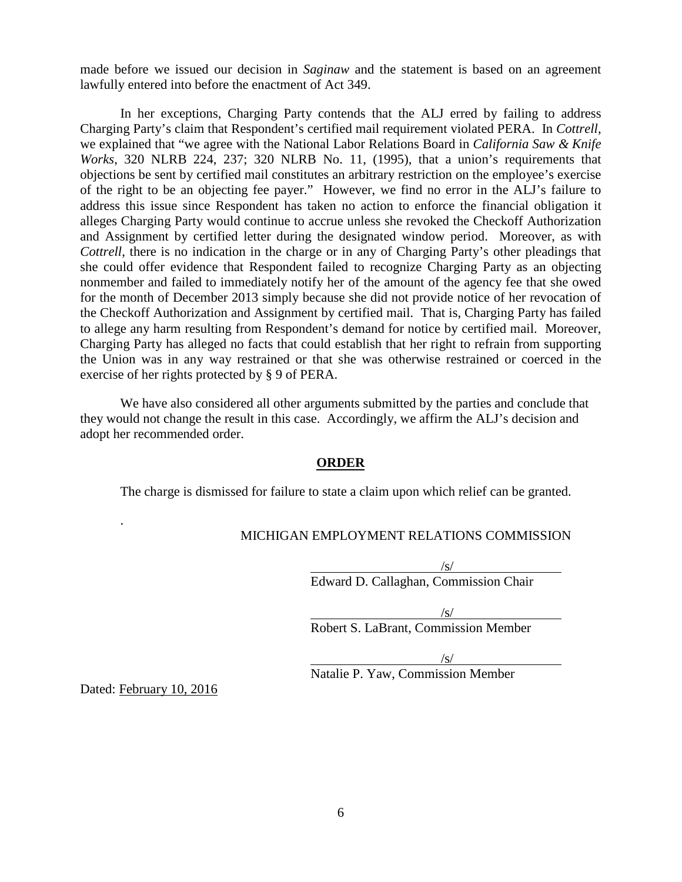made before we issued our decision in *Saginaw* and the statement is based on an agreement lawfully entered into before the enactment of Act 349.

In her exceptions, Charging Party contends that the ALJ erred by failing to address Charging Party's claim that Respondent's certified mail requirement violated PERA. In *Cottrell*, we explained that "we agree with the National Labor Relations Board in *California Saw & Knife Works*, 320 NLRB 224, 237; 320 NLRB No. 11, (1995), that a union's requirements that objections be sent by certified mail constitutes an arbitrary restriction on the employee's exercise of the right to be an objecting fee payer." However, we find no error in the ALJ's failure to address this issue since Respondent has taken no action to enforce the financial obligation it alleges Charging Party would continue to accrue unless she revoked the Checkoff Authorization and Assignment by certified letter during the designated window period. Moreover, as with *Cottrell*, there is no indication in the charge or in any of Charging Party's other pleadings that she could offer evidence that Respondent failed to recognize Charging Party as an objecting nonmember and failed to immediately notify her of the amount of the agency fee that she owed for the month of December 2013 simply because she did not provide notice of her revocation of the Checkoff Authorization and Assignment by certified mail. That is, Charging Party has failed to allege any harm resulting from Respondent's demand for notice by certified mail. Moreover, Charging Party has alleged no facts that could establish that her right to refrain from supporting the Union was in any way restrained or that she was otherwise restrained or coerced in the exercise of her rights protected by § 9 of PERA.

We have also considered all other arguments submitted by the parties and conclude that they would not change the result in this case. Accordingly, we affirm the ALJ's decision and adopt her recommended order.

## **ORDER**

The charge is dismissed for failure to state a claim upon which relief can be granted.

## MICHIGAN EMPLOYMENT RELATIONS COMMISSION

/s/

Edward D. Callaghan, Commission Chair

/s/

Robert S. LaBrant, Commission Member

 $\sqrt{s}$ 

Natalie P. Yaw, Commission Member

Dated: February 10, 2016

.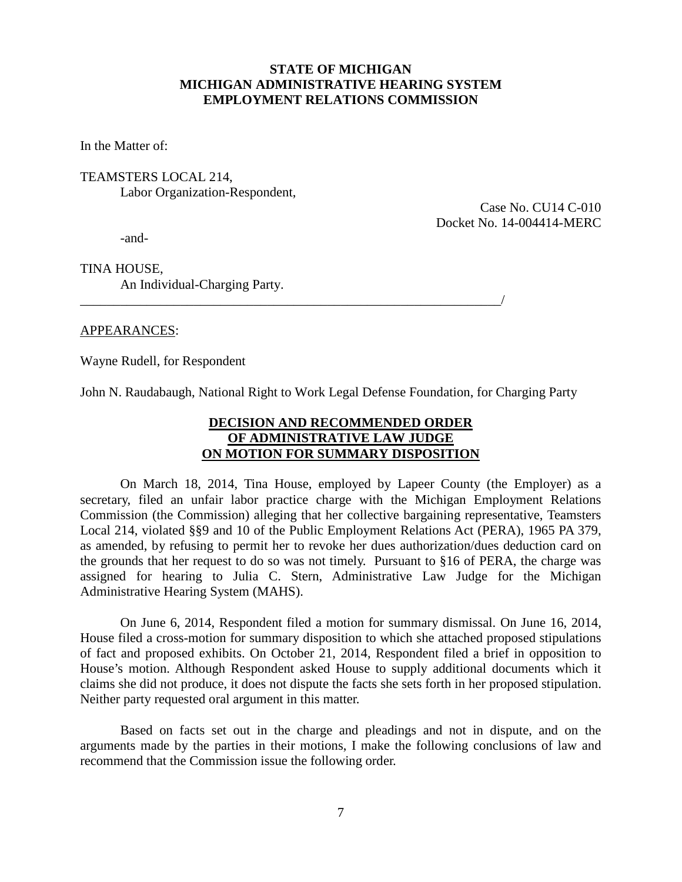# **STATE OF MICHIGAN MICHIGAN ADMINISTRATIVE HEARING SYSTEM EMPLOYMENT RELATIONS COMMISSION**

In the Matter of:

TEAMSTERS LOCAL 214, Labor Organization-Respondent,

> Case No. CU14 C-010 Docket No. 14-004414-MERC

-and-

TINA HOUSE, An Individual-Charging Party.

\_\_\_\_\_\_\_\_\_\_\_\_\_\_\_\_\_\_\_\_\_\_\_\_\_\_\_\_\_\_\_\_\_\_\_\_\_\_\_\_\_\_\_\_\_\_\_\_\_\_\_\_\_\_\_\_\_\_\_\_\_\_\_/

## APPEARANCES:

Wayne Rudell, for Respondent

John N. Raudabaugh, National Right to Work Legal Defense Foundation, for Charging Party

# **DECISION AND RECOMMENDED ORDER OF ADMINISTRATIVE LAW JUDGE ON MOTION FOR SUMMARY DISPOSITION**

On March 18, 2014, Tina House, employed by Lapeer County (the Employer) as a secretary, filed an unfair labor practice charge with the Michigan Employment Relations Commission (the Commission) alleging that her collective bargaining representative, Teamsters Local 214, violated §§9 and 10 of the Public Employment Relations Act (PERA), 1965 PA 379, as amended, by refusing to permit her to revoke her dues authorization/dues deduction card on the grounds that her request to do so was not timely. Pursuant to §16 of PERA, the charge was assigned for hearing to Julia C. Stern, Administrative Law Judge for the Michigan Administrative Hearing System (MAHS).

On June 6, 2014, Respondent filed a motion for summary dismissal. On June 16, 2014, House filed a cross-motion for summary disposition to which she attached proposed stipulations of fact and proposed exhibits. On October 21, 2014, Respondent filed a brief in opposition to House's motion. Although Respondent asked House to supply additional documents which it claims she did not produce, it does not dispute the facts she sets forth in her proposed stipulation. Neither party requested oral argument in this matter.

Based on facts set out in the charge and pleadings and not in dispute, and on the arguments made by the parties in their motions, I make the following conclusions of law and recommend that the Commission issue the following order.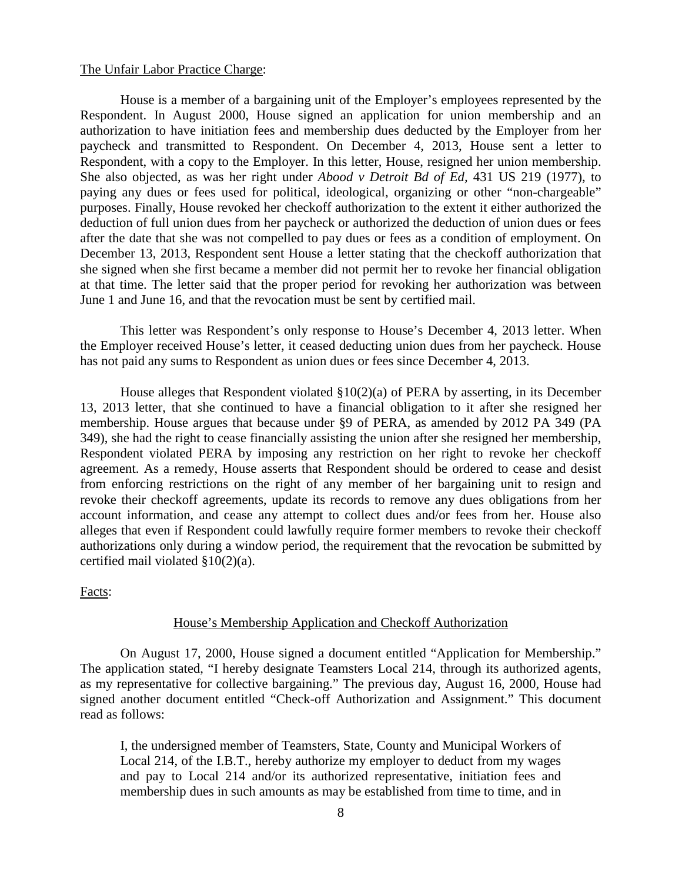### The Unfair Labor Practice Charge:

House is a member of a bargaining unit of the Employer's employees represented by the Respondent. In August 2000, House signed an application for union membership and an authorization to have initiation fees and membership dues deducted by the Employer from her paycheck and transmitted to Respondent. On December 4, 2013, House sent a letter to Respondent, with a copy to the Employer. In this letter, House, resigned her union membership. She also objected, as was her right under *Abood v Detroit Bd of Ed,* 431 US 219 (1977), to paying any dues or fees used for political, ideological, organizing or other "non-chargeable" purposes. Finally, House revoked her checkoff authorization to the extent it either authorized the deduction of full union dues from her paycheck or authorized the deduction of union dues or fees after the date that she was not compelled to pay dues or fees as a condition of employment. On December 13, 2013, Respondent sent House a letter stating that the checkoff authorization that she signed when she first became a member did not permit her to revoke her financial obligation at that time. The letter said that the proper period for revoking her authorization was between June 1 and June 16, and that the revocation must be sent by certified mail.

This letter was Respondent's only response to House's December 4, 2013 letter. When the Employer received House's letter, it ceased deducting union dues from her paycheck. House has not paid any sums to Respondent as union dues or fees since December 4, 2013.

House alleges that Respondent violated §10(2)(a) of PERA by asserting, in its December 13, 2013 letter, that she continued to have a financial obligation to it after she resigned her membership. House argues that because under §9 of PERA, as amended by 2012 PA 349 (PA 349), she had the right to cease financially assisting the union after she resigned her membership, Respondent violated PERA by imposing any restriction on her right to revoke her checkoff agreement. As a remedy, House asserts that Respondent should be ordered to cease and desist from enforcing restrictions on the right of any member of her bargaining unit to resign and revoke their checkoff agreements, update its records to remove any dues obligations from her account information, and cease any attempt to collect dues and/or fees from her. House also alleges that even if Respondent could lawfully require former members to revoke their checkoff authorizations only during a window period, the requirement that the revocation be submitted by certified mail violated §10(2)(a).

Facts:

### House's Membership Application and Checkoff Authorization

On August 17, 2000, House signed a document entitled "Application for Membership." The application stated, "I hereby designate Teamsters Local 214, through its authorized agents, as my representative for collective bargaining." The previous day, August 16, 2000, House had signed another document entitled "Check-off Authorization and Assignment." This document read as follows:

I, the undersigned member of Teamsters, State, County and Municipal Workers of Local 214, of the I.B.T., hereby authorize my employer to deduct from my wages and pay to Local 214 and/or its authorized representative, initiation fees and membership dues in such amounts as may be established from time to time, and in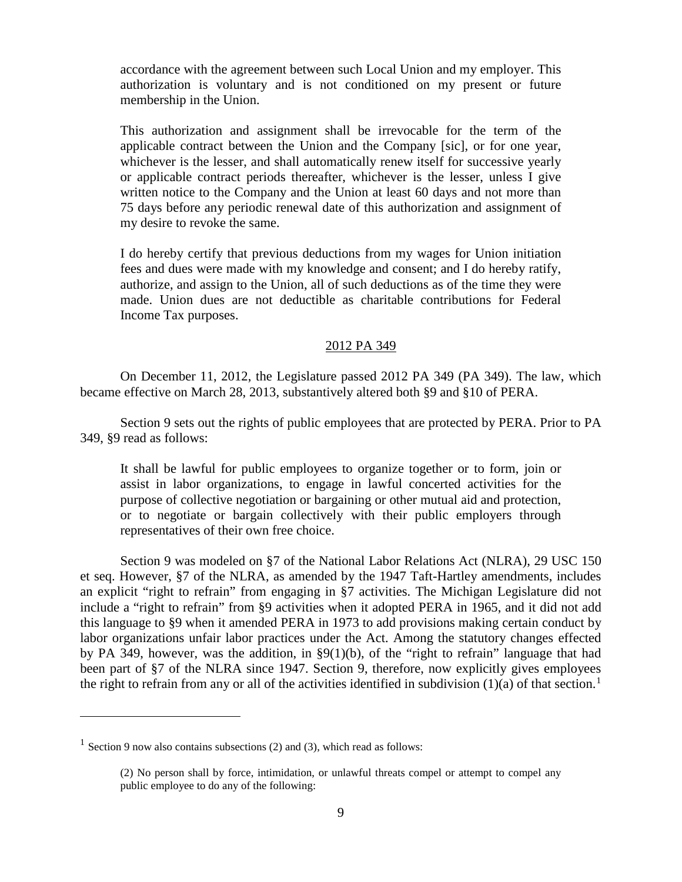accordance with the agreement between such Local Union and my employer. This authorization is voluntary and is not conditioned on my present or future membership in the Union.

This authorization and assignment shall be irrevocable for the term of the applicable contract between the Union and the Company [sic], or for one year, whichever is the lesser, and shall automatically renew itself for successive yearly or applicable contract periods thereafter, whichever is the lesser, unless I give written notice to the Company and the Union at least 60 days and not more than 75 days before any periodic renewal date of this authorization and assignment of my desire to revoke the same.

I do hereby certify that previous deductions from my wages for Union initiation fees and dues were made with my knowledge and consent; and I do hereby ratify, authorize, and assign to the Union, all of such deductions as of the time they were made. Union dues are not deductible as charitable contributions for Federal Income Tax purposes.

## 2012 PA 349

On December 11, 2012, the Legislature passed 2012 PA 349 (PA 349). The law, which became effective on March 28, 2013, substantively altered both §9 and §10 of PERA.

Section 9 sets out the rights of public employees that are protected by PERA. Prior to PA 349, §9 read as follows:

It shall be lawful for public employees to organize together or to form, join or assist in labor organizations, to engage in lawful concerted activities for the purpose of collective negotiation or bargaining or other mutual aid and protection, or to negotiate or bargain collectively with their public employers through representatives of their own free choice.

Section 9 was modeled on §7 of the National Labor Relations Act (NLRA), 29 USC 150 et seq. However, §7 of the NLRA, as amended by the 1947 Taft-Hartley amendments, includes an explicit "right to refrain" from engaging in §7 activities. The Michigan Legislature did not include a "right to refrain" from §9 activities when it adopted PERA in 1965, and it did not add this language to §9 when it amended PERA in 1973 to add provisions making certain conduct by labor organizations unfair labor practices under the Act. Among the statutory changes effected by PA 349, however, was the addition, in §9(1)(b), of the "right to refrain" language that had been part of §7 of the NLRA since 1947. Section 9, therefore, now explicitly gives employees the right to refrain from any or all of the activities identified in subdivision  $(1)(a)$  $(1)(a)$  $(1)(a)$  of that section.<sup>1</sup>

 $\overline{a}$ 

<span id="page-8-0"></span><sup>&</sup>lt;sup>1</sup> Section 9 now also contains subsections (2) and (3), which read as follows:

<sup>(2)</sup> No person shall by force, intimidation, or unlawful threats compel or attempt to compel any public employee to do any of the following: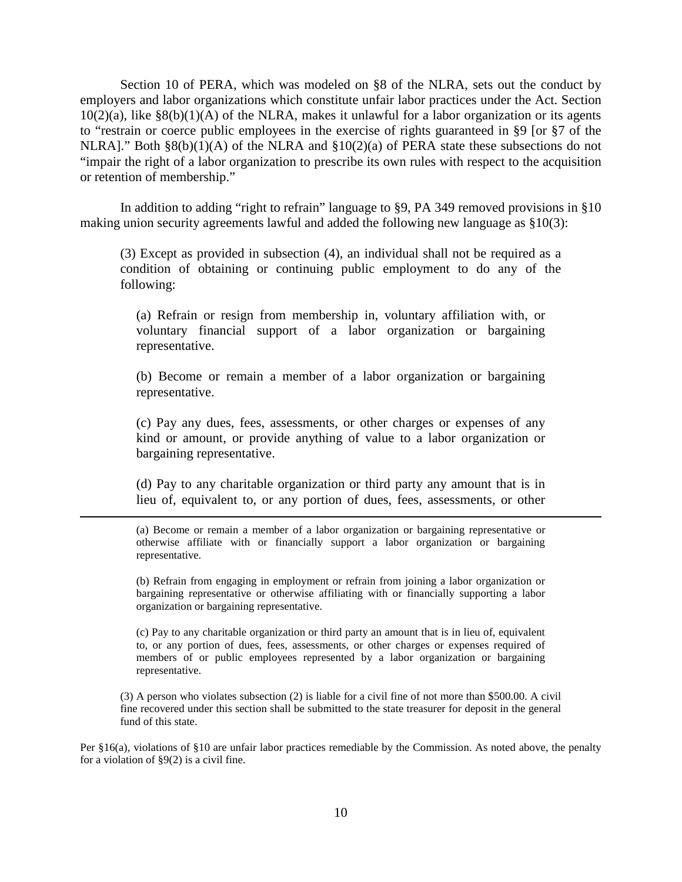Section 10 of PERA, which was modeled on §8 of the NLRA, sets out the conduct by employers and labor organizations which constitute unfair labor practices under the Act. Section  $10(2)(a)$ , like §8(b)(1)(A) of the NLRA, makes it unlawful for a labor organization or its agents to "restrain or coerce public employees in the exercise of rights guaranteed in §9 [or §7 of the NLRA]." Both  $\S 8(b)(1)(A)$  of the NLRA and  $\S 10(2)(a)$  of PERA state these subsections do not "impair the right of a labor organization to prescribe its own rules with respect to the acquisition or retention of membership."

In addition to adding "right to refrain" language to §9, PA 349 removed provisions in §10 making union security agreements lawful and added the following new language as §10(3):

(3) Except as provided in subsection (4), an individual shall not be required as a condition of obtaining or continuing public employment to do any of the following:

(a) Refrain or resign from membership in, voluntary affiliation with, or voluntary financial support of a labor organization or bargaining representative.

(b) Become or remain a member of a labor organization or bargaining representative.

(c) Pay any dues, fees, assessments, or other charges or expenses of any kind or amount, or provide anything of value to a labor organization or bargaining representative.

(d) Pay to any charitable organization or third party any amount that is in lieu of, equivalent to, or any portion of dues, fees, assessments, or other

 $\overline{a}$ 

(a) Become or remain a member of a labor organization or bargaining representative or otherwise affiliate with or financially support a labor organization or bargaining representative.

(b) Refrain from engaging in employment or refrain from joining a labor organization or bargaining representative or otherwise affiliating with or financially supporting a labor organization or bargaining representative.

(c) Pay to any charitable organization or third party an amount that is in lieu of, equivalent to, or any portion of dues, fees, assessments, or other charges or expenses required of members of or public employees represented by a labor organization or bargaining representative.

(3) A person who violates subsection (2) is liable for a civil fine of not more than \$500.00. A civil fine recovered under this section shall be submitted to the state treasurer for deposit in the general fund of this state.

Per §16(a), violations of §10 are unfair labor practices remediable by the Commission. As noted above, the penalty for a violation of  $\S9(2)$  is a civil fine.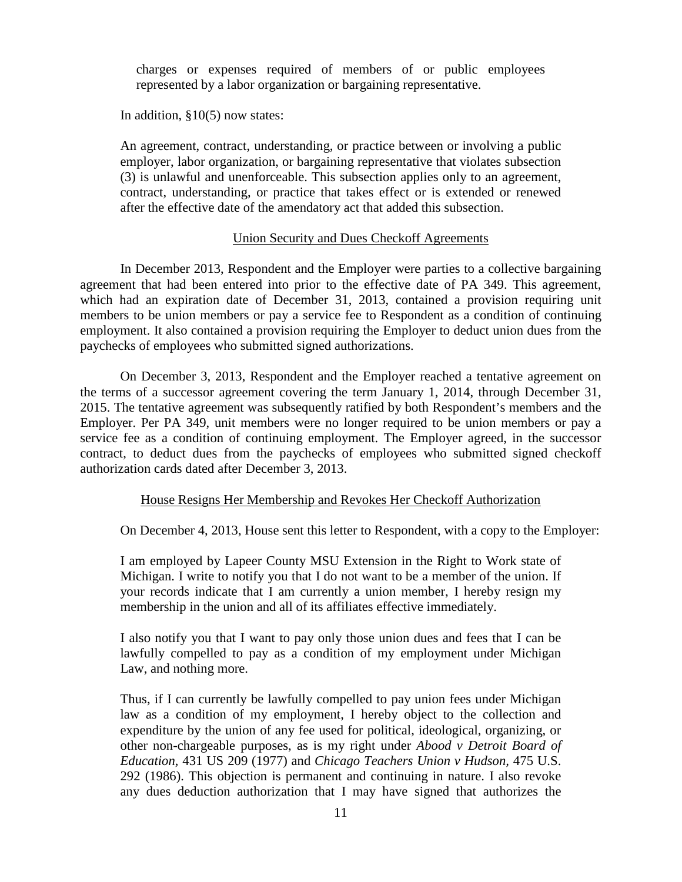charges or expenses required of members of or public employees represented by a labor organization or bargaining representative.

In addition, §10(5) now states:

An agreement, contract, understanding, or practice between or involving a public employer, labor organization, or bargaining representative that violates subsection (3) is unlawful and unenforceable. This subsection applies only to an agreement, contract, understanding, or practice that takes effect or is extended or renewed after the effective date of the amendatory act that added this subsection.

# Union Security and Dues Checkoff Agreements

In December 2013, Respondent and the Employer were parties to a collective bargaining agreement that had been entered into prior to the effective date of PA 349. This agreement, which had an expiration date of December 31, 2013, contained a provision requiring unit members to be union members or pay a service fee to Respondent as a condition of continuing employment. It also contained a provision requiring the Employer to deduct union dues from the paychecks of employees who submitted signed authorizations.

On December 3, 2013, Respondent and the Employer reached a tentative agreement on the terms of a successor agreement covering the term January 1, 2014, through December 31, 2015. The tentative agreement was subsequently ratified by both Respondent's members and the Employer. Per PA 349, unit members were no longer required to be union members or pay a service fee as a condition of continuing employment. The Employer agreed, in the successor contract, to deduct dues from the paychecks of employees who submitted signed checkoff authorization cards dated after December 3, 2013.

# House Resigns Her Membership and Revokes Her Checkoff Authorization

On December 4, 2013, House sent this letter to Respondent, with a copy to the Employer:

I am employed by Lapeer County MSU Extension in the Right to Work state of Michigan. I write to notify you that I do not want to be a member of the union. If your records indicate that I am currently a union member, I hereby resign my membership in the union and all of its affiliates effective immediately.

I also notify you that I want to pay only those union dues and fees that I can be lawfully compelled to pay as a condition of my employment under Michigan Law, and nothing more.

Thus, if I can currently be lawfully compelled to pay union fees under Michigan law as a condition of my employment, I hereby object to the collection and expenditure by the union of any fee used for political, ideological, organizing, or other non-chargeable purposes, as is my right under *Abood v Detroit Board of Education,* 431 US 209 (1977) and *Chicago Teachers Union v Hudson,* 475 U.S. 292 (1986). This objection is permanent and continuing in nature. I also revoke any dues deduction authorization that I may have signed that authorizes the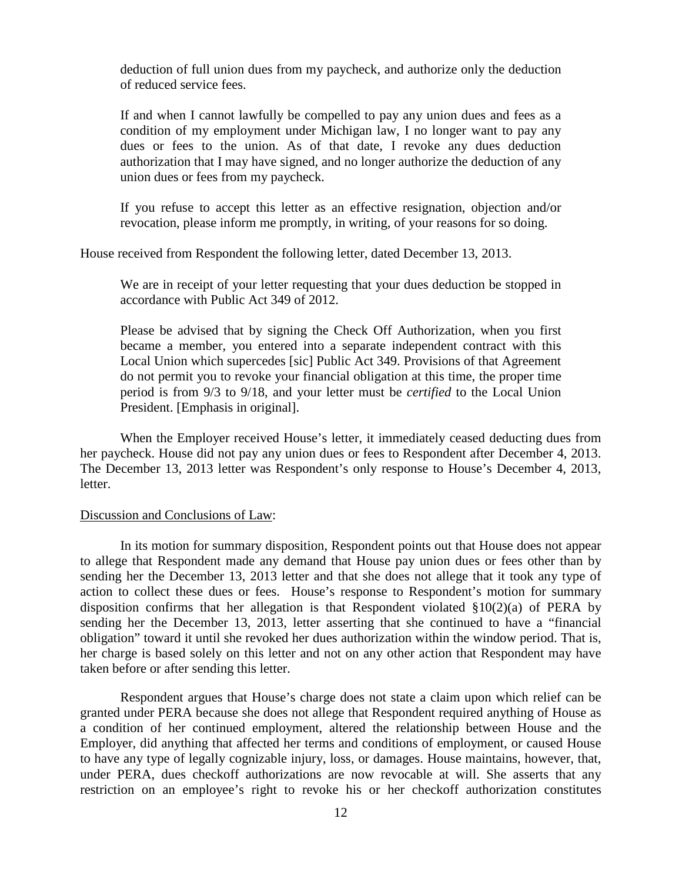deduction of full union dues from my paycheck, and authorize only the deduction of reduced service fees.

If and when I cannot lawfully be compelled to pay any union dues and fees as a condition of my employment under Michigan law, I no longer want to pay any dues or fees to the union. As of that date, I revoke any dues deduction authorization that I may have signed, and no longer authorize the deduction of any union dues or fees from my paycheck.

If you refuse to accept this letter as an effective resignation, objection and/or revocation, please inform me promptly, in writing, of your reasons for so doing.

House received from Respondent the following letter, dated December 13, 2013.

We are in receipt of your letter requesting that your dues deduction be stopped in accordance with Public Act 349 of 2012.

Please be advised that by signing the Check Off Authorization, when you first became a member, you entered into a separate independent contract with this Local Union which supercedes [sic] Public Act 349. Provisions of that Agreement do not permit you to revoke your financial obligation at this time, the proper time period is from 9/3 to 9/18, and your letter must be *certified* to the Local Union President. [Emphasis in original].

When the Employer received House's letter, it immediately ceased deducting dues from her paycheck. House did not pay any union dues or fees to Respondent after December 4, 2013. The December 13, 2013 letter was Respondent's only response to House's December 4, 2013, letter.

# Discussion and Conclusions of Law:

In its motion for summary disposition, Respondent points out that House does not appear to allege that Respondent made any demand that House pay union dues or fees other than by sending her the December 13, 2013 letter and that she does not allege that it took any type of action to collect these dues or fees. House's response to Respondent's motion for summary disposition confirms that her allegation is that Respondent violated  $\S 10(2)(a)$  of PERA by sending her the December 13, 2013, letter asserting that she continued to have a "financial obligation" toward it until she revoked her dues authorization within the window period. That is, her charge is based solely on this letter and not on any other action that Respondent may have taken before or after sending this letter.

Respondent argues that House's charge does not state a claim upon which relief can be granted under PERA because she does not allege that Respondent required anything of House as a condition of her continued employment, altered the relationship between House and the Employer, did anything that affected her terms and conditions of employment, or caused House to have any type of legally cognizable injury, loss, or damages. House maintains, however, that, under PERA, dues checkoff authorizations are now revocable at will. She asserts that any restriction on an employee's right to revoke his or her checkoff authorization constitutes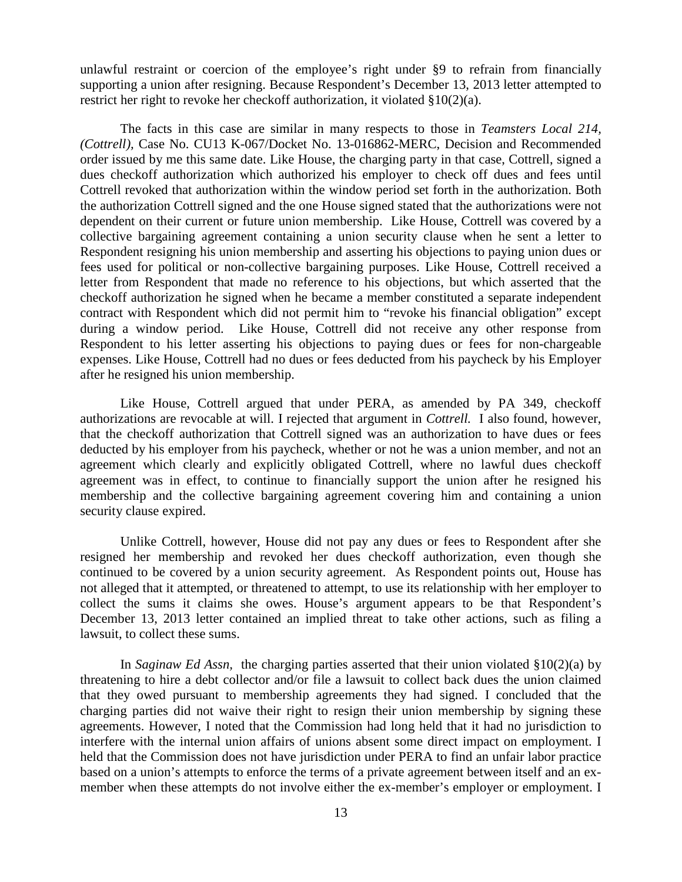unlawful restraint or coercion of the employee's right under §9 to refrain from financially supporting a union after resigning. Because Respondent's December 13, 2013 letter attempted to restrict her right to revoke her checkoff authorization, it violated §10(2)(a).

The facts in this case are similar in many respects to those in *Teamsters Local 214, (Cottrell),* Case No. CU13 K-067/Docket No. 13-016862-MERC, Decision and Recommended order issued by me this same date. Like House, the charging party in that case, Cottrell, signed a dues checkoff authorization which authorized his employer to check off dues and fees until Cottrell revoked that authorization within the window period set forth in the authorization. Both the authorization Cottrell signed and the one House signed stated that the authorizations were not dependent on their current or future union membership. Like House, Cottrell was covered by a collective bargaining agreement containing a union security clause when he sent a letter to Respondent resigning his union membership and asserting his objections to paying union dues or fees used for political or non-collective bargaining purposes. Like House, Cottrell received a letter from Respondent that made no reference to his objections, but which asserted that the checkoff authorization he signed when he became a member constituted a separate independent contract with Respondent which did not permit him to "revoke his financial obligation" except during a window period. Like House, Cottrell did not receive any other response from Respondent to his letter asserting his objections to paying dues or fees for non-chargeable expenses. Like House, Cottrell had no dues or fees deducted from his paycheck by his Employer after he resigned his union membership.

Like House, Cottrell argued that under PERA, as amended by PA 349, checkoff authorizations are revocable at will. I rejected that argument in *Cottrell.* I also found, however, that the checkoff authorization that Cottrell signed was an authorization to have dues or fees deducted by his employer from his paycheck, whether or not he was a union member, and not an agreement which clearly and explicitly obligated Cottrell, where no lawful dues checkoff agreement was in effect, to continue to financially support the union after he resigned his membership and the collective bargaining agreement covering him and containing a union security clause expired.

Unlike Cottrell, however, House did not pay any dues or fees to Respondent after she resigned her membership and revoked her dues checkoff authorization, even though she continued to be covered by a union security agreement. As Respondent points out, House has not alleged that it attempted, or threatened to attempt, to use its relationship with her employer to collect the sums it claims she owes. House's argument appears to be that Respondent's December 13, 2013 letter contained an implied threat to take other actions, such as filing a lawsuit, to collect these sums.

In *Saginaw Ed Assn,* the charging parties asserted that their union violated §10(2)(a) by threatening to hire a debt collector and/or file a lawsuit to collect back dues the union claimed that they owed pursuant to membership agreements they had signed. I concluded that the charging parties did not waive their right to resign their union membership by signing these agreements. However, I noted that the Commission had long held that it had no jurisdiction to interfere with the internal union affairs of unions absent some direct impact on employment. I held that the Commission does not have jurisdiction under PERA to find an unfair labor practice based on a union's attempts to enforce the terms of a private agreement between itself and an exmember when these attempts do not involve either the ex-member's employer or employment. I